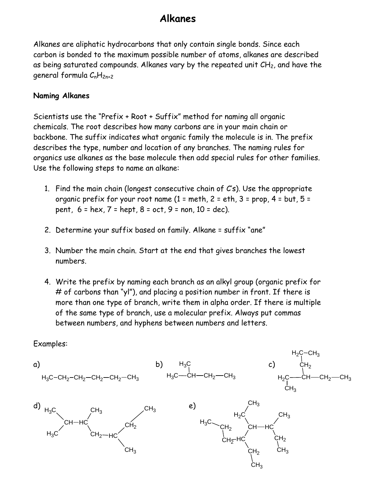# **Alkanes**

Alkanes are aliphatic hydrocarbons that only contain single bonds. Since each carbon is bonded to the maximum possible number of atoms, alkanes are described as being saturated compounds. Alkanes vary by the repeated unit CH<sub>2</sub>, and have the general formula  $C_nH_{2n+2}$ 

#### **Naming Alkanes**

Scientists use the "Prefix + Root + Suffix" method for naming all organic chemicals. The root describes how many carbons are in your main chain or backbone. The suffix indicates what organic family the molecule is in. The prefix describes the type, number and location of any branches. The naming rules for organics use alkanes as the base molecule then add special rules for other families. Use the following steps to name an alkane:

- 1. Find the main chain (longest consecutive chain of C's). Use the appropriate organic prefix for your root name  $(1 = \text{meth}, 2 = \text{eth}, 3 = \text{prop}, 4 = \text{but}, 5 = \text{crit}$ pent,  $6 = \text{hex}, 7 = \text{hept}, 8 = \text{oct}, 9 = \text{non}, 10 = \text{dec}.$
- 2. Determine your suffix based on family. Alkane = suffix "ane"
- 3. Number the main chain. Start at the end that gives branches the lowest numbers.
- 4. Write the prefix by naming each branch as an alkyl group (organic prefix for # of carbons than "yl"), and placing a position number in front. If there is more than one type of branch, write them in alpha order. If there is multiple of the same type of branch, use a molecular prefix. Always put commas between numbers, and hyphens between numbers and letters.

Examples:

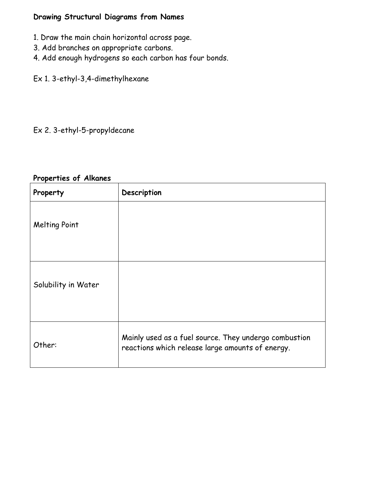### **Drawing Structural Diagrams from Names**

- 1. Draw the main chain horizontal across page.
- 3. Add branches on appropriate carbons.
- 4. Add enough hydrogens so each carbon has four bonds.
- Ex 1. 3-ethyl-3,4-dimethylhexane

# Ex 2. 3-ethyl-5-propyldecane

#### **Properties of Alkanes**

| Property             | Description                                                                                               |
|----------------------|-----------------------------------------------------------------------------------------------------------|
| <b>Melting Point</b> |                                                                                                           |
| Solubility in Water  |                                                                                                           |
| Other:               | Mainly used as a fuel source. They undergo combustion<br>reactions which release large amounts of energy. |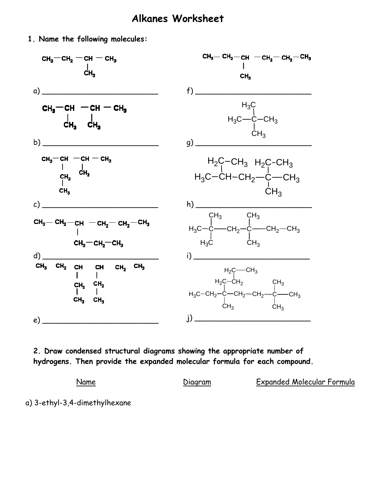# **Alkanes Worksheet**

**1. Name the following molecules:** 



**2. Draw condensed structural diagrams showing the appropriate number of hydrogens. Then provide the expanded molecular formula for each compound.** 

Name Diagram Expanded Molecular Formula

a) 3-ethyl-3,4-dimethylhexane